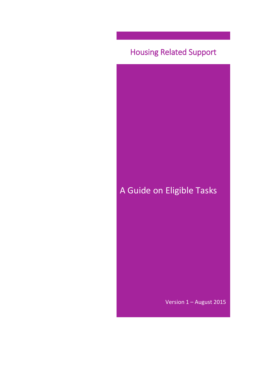# Housing Related Support

A Guide on Eligible Tasks

Version 1 – August 2015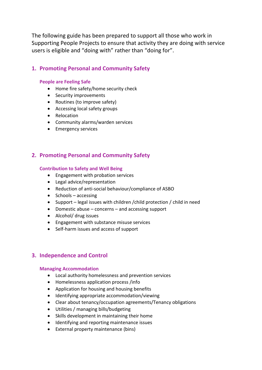The following guide has been prepared to support all those who work in Supporting People Projects to ensure that activity they are doing with service users is eligible and "doing with" rather than "doing for".

# **1. Promoting Personal and Community Safety**

## **People are Feeling Safe**

- Home fire safety/home security check
- Security improvements
- Routines (to improve safety)
- Accessing local safety groups
- Relocation
- Community alarms/warden services
- Emergency services

# **2. Promoting Personal and Community Safety**

## **Contribution to Safety and Well Being**

- Engagement with probation services
- Legal advice/representation
- Reduction of anti-social behaviour/compliance of ASBO
- $\bullet$  Schools accessing
- Support legal issues with children /child protection / child in need
- Domestic abuse concerns and accessing support
- Alcohol/ drug issues
- Engagement with substance misuse services
- Self-harm issues and access of support

## **3. Independence and Control**

## **Managing Accommodation**

- Local authority homelessness and prevention services
- Homelessness application process /info
- Application for housing and housing benefits
- Identifying appropriate accommodation/viewing
- Clear about tenancy/occupation agreements/Tenancy obligations
- Utilities / managing bills/budgeting
- Skills development in maintaining their home
- Identifying and reporting maintenance issues
- External property maintenance (bins)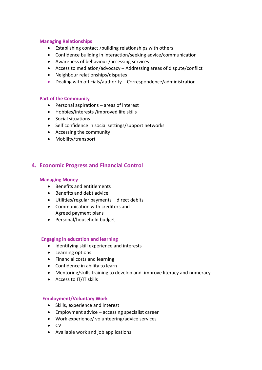#### **Managing Relationships**

- Establishing contact /building relationships with others
- Confidence building in interaction/seeking advice/communication
- Awareness of behaviour /accessing services
- Access to mediation/advocacy Addressing areas of dispute/conflict
- Neighbour relationships/disputes
- Dealing with officials/authority Correspondence/administration

## **Part of the Community**

- Personal aspirations areas of interest
- Hobbies/interests /improved life skills
- Social situations
- Self confidence in social settings/support networks
- Accessing the community
- Mobility/transport

## **4. Economic Progress and Financial Control**

#### **Managing Money**

- Benefits and entitlements
- Benefits and debt advice
- Utilities/regular payments direct debits
- Communication with creditors and Agreed payment plans
- Personal/household budget

## **Engaging in education and learning**

- Identifying skill experience and interests
- Learning options
- Financial costs and learning
- Confidence in ability to learn
- Mentoring/skills training to develop and improve literacy and numeracy
- Access to IT/IT skills

## **Employment/Voluntary Work**

- Skills, experience and interest
- Employment advice accessing specialist career
- Work experience/ volunteering/advice services
- $\bullet$  CV
- Available work and job applications